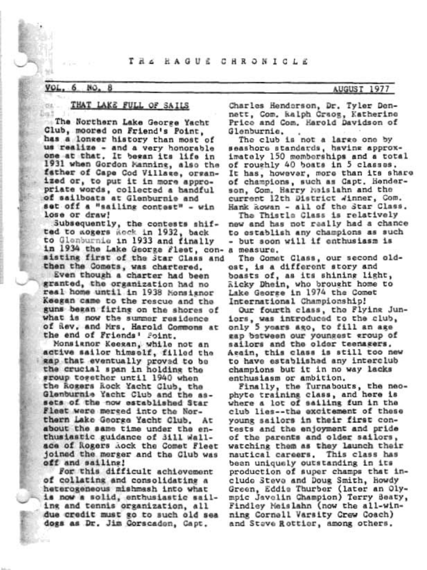## THE RAGUE CHRONICLE

#### VOL. NO.

**DEC ...** Dal

## THAT LAKE FULL OF SAILS

The Northern Lake George Yacht Club, moored on Friend's Point. has a longer history than most of us realize - and a very honorable one at that. It began its life in 1931 when Gordon Manning, also the father of Cape Cod Village, organized or, to put it in more appropriate words, collected a handful of sailboats at Glenburnie and set off a "sailing contest" - win lose or draw!

Subsequently, the contests shifted to acgers Rock in 1932, back to Glenburnie in 1933 and finally in 1934 the Lake George Fleet, con- a measure. sisting first of the Star Class and then the Comets, was chartered.

Even though a charter had been granted, the organization had no real home until in 1938 Monsignor Keegan came to the rescue and the guns bekan firing on the shores of what is now the summer residence of Rev. and Mrs. Harold Commons at the end of Friends' Foint.

Monsianor Keegan, while not an active sailor himself, filled the gap that eventually proved to be the crucial span in holding the sroup together until 1940 when the Rogers Rock Yacht Glub, the Glenburnie Yacht Club and the assets of the now established Star Fleet were mersed into the Northern Lake George Yacht Club. At about the same time under the enthusiastic guidance of 3ill Wallace of Rogers Aock the Comet Fleet joined the merger and the Club was off and sailing!

For this difficult achievement of collating and consolidating a heterogeneous mishmash into what is now a solid, enthusiastic sailing and tennis organization, all due credit must go to such old sea dogs as Dr. Jim Corscaden, Capt.

Charles Henderson, Dr. Tyler Dennett, Com. kalph Craog, Katherine Price and Com. Harold Davidson of Glenburnie,

The club is not a large one by seashore standards, having approximately 150 memberships and a total of roughly 40 boats in 5 classes. It has, however, more than its share of champions, such as Capt. Henderson, Com. Harry Maislahn and the current 12th District Winner, Com. Hank kowan - all of the Star Class.

The Thistle Class is relatively new and has not really had a chance to establish any champions as such - but soon will if enthusiasm is

The Comet Class, our second oldost, is a different story and boasts of, as its shining light, Ricky Dhein, who brought home to Lake George in 1974 the Comet International Championship!

Our fourth class, the Flying Juniors, was introduced to the club, only 5 years ago, to fill an age gap between our youngest group of sailors and the older teenagers. Asain, this class is still too new to have established any interclub champions but it in no way lacks enthusiasm or ambition.

Finally, the Turnabouts, the neophyte training class, and here is<br>where a lot of sailing fun in the club lies -- the excitement of these young sailors in their first contests and the enjoyment and pride of the parents and older sailors, watching them as they launch their nautical careers. This class has been uniquely outstanding in its production of super champs that include Steve and Doug Smith, Howdy Green, Eddie Thurber (later an Olympic Javelin Champion) Terry Beaty, Findley Meislahn (now the all-winning Cornell Varsity Crew Coach) and Stave Rottier, among others.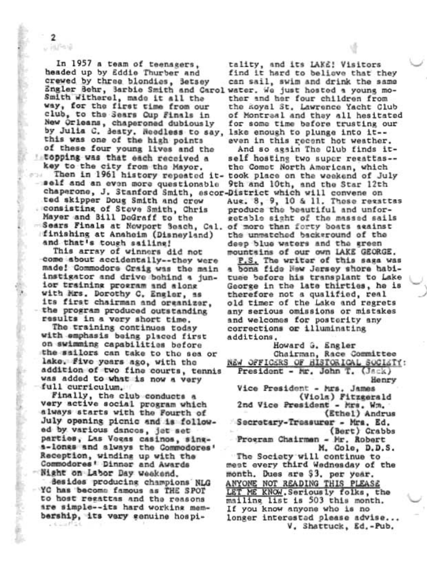In 1957 a team of teenagers, headed up by Eddie Thurber and crewed by three blondies, Betsey Engler Behr, Barbie Smith and Carolwater. We just hosted a young mo-Smith Witherel, made it all the way, for the first time from our club, to the Sears Cup Finals in New Orleans, chaperoned dubiously by Julia C. Seaty. Needless to say, 1ske enough to plunge into it-this was one of the high points of these four young lives and the topping was that each received a key to the city from the Mayor.

 $\overline{\mathbf{2}}$ 以排气量

ポワス -self and an even more questionable chaperone, J. Stanford Smith, escor-District which will convene on ted skipper Doug Smith and crew . consisting of Steve Smith, Chris Mayer and Bill DeGraff to the Sears Finals at Newport Seach, Cal. of more than forty boats seainst finishing at Anaheim (Disneyland) and that's tough sailing!

This array of winners did not come about accidentally -- they were made! Commodors Craig was the main instigator and drive bohind a junior training program and along with Mrs. Dorothy C. Engler, as its first chairman and organizer, the program produced outstanding results in a very short time.

The training continues today with emphasis being placed first on swimming capabilities before the sailors can take to the sea or lake. Five years ago, with the addition of two fine courts, tennis was added to what is now a very full curriculum.

Finally, the club conducts a very active social program which always starts with the Fourth of July opening picnic and is followed by various dances, jet set parties, Las Vegas casinos, sings-longs and always the Commodores' Reception, winding up with the Commodores' Dinner and Awards Night on Labor Day weekend.

Besides producing champions NLG YC has become famous as THE SPOT to host regattas and the reasons are simple -- its hard working membership, its very genuine hospi- $-1 - 1$ 

tality, and its LAKE! Visitors find it hard to believe that they can sail, swim and drink the same ther and her four children from the Royal St. Lawrence Yacht Club of Montraal and thay all hesitated for some time bafore trusting our even in this recent hot weather.

And so again The Club finds itself hosting two super recattas-the Comet North American, which Then in 1961 history repeated it- took place on the weekend of July 9th and 10th, and the Star 12th Aug. 8, 9, 10 & 11. Those regattas produce the beautiful and unforgetable sight of the massed sails the unmatched background of the deep blue waters and the green mountains of our own LAKE GEORGE.

P.S. The writer of this saga was a bona fide New Jersey shore habituee before his transplant to Lake George in the late thirties, he is therefore not a qualified, real old timer of the Lake and regrets any serious omissions or mistakes and welcomes for posterity any corrections or illuminating additions.

Howard G. Engler Chairman, Race Committee NEW OFFICERS OF HISTORICAL SOCIETY: President - Mr. John T. (Jack) Henry Vice President - Mrs. James (Viola) Fitzgerald 2nd Vice President - Mrs. Wm. (Ethel) Andrus Secretary-Treasurer - Mrs. Ed. (Bert) Crabbs Program Chairman - Mr. Robert M. Cole, D.D.S. The Society will continue to mest every third Wednesday of the month. Dues are \$3, per year. **ANYONE NOT READING THIS PLEASE** LET ME KNOW. Seriously folks, the mailing list is 503 this month. If you know anyone who is no longer interestad please advise...

V. Shattuck, Ed.-Pub.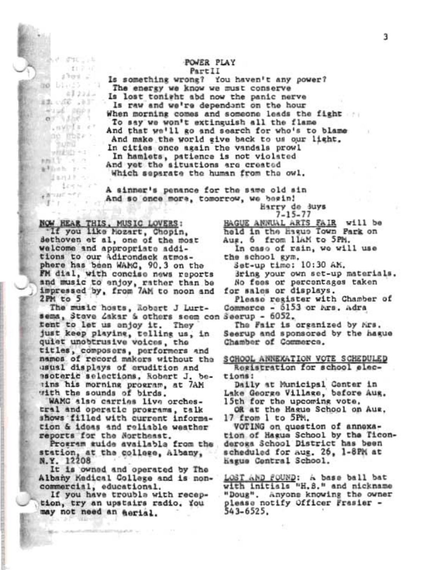### **POWER PLAY** PartII

Is something wrong? You haven't any power? The energy we know we must conserve Is lost tonight abd now the panic nerve Is raw and we're dependent on the hour When morning comes and someone leads the fight To say we won't extinguish all the flame And that we'll go and search for who's to blame And make the world give back to us our light. In cities once again the vandals prowl In hamlets, patience is not violated And yet the situations are created Which separate the human from the owl.

A sinner's penance for the same old sin And so once more, tomorrow, we begin!

Earry de Suys  $7 - 15 - 77$ 

NOW HEAR THIS, MUSIC LOVERS: If you like Mozart, Chopin, dethoven et al, one of the most welcome and appropriate additions to our Adirondack atmosphere has been WAMC, 90.3 on the FM dial, with concise news reports and music to enjoy, rather than be impressed by, from 7AM to noon and 2PM to 5

 $-570 - 14$ 

 $1301 -$ 

*DIA* (23 -

16. Oliva 48

Huss port

 $a$  ,  $b$  ,  $b$ 

**BURG** 

利用工学 ニュニウ

athen rin

■ コロビーティー

 $1 - 1 - 1$ 

withhill +1

Handle or Long a

 $.59713$ 

no mazzo

-76

工厂产业门

41223.0

The music hosts, Robert J Lurtsema, Steve Zakar & others seem con Seerup - 6052. fent to let us anjoy it. They just keep playing, telling us, in quiet unobtrusive voices, the titles, composers, performers and names of record makers without the usual displays of erudition and ssoteric selections, Robert J. betins his morning program, at 7AM with the sounds of birds.

WAMC also carries live orchestral and operatic prosrams, talk shows filled with current information & ideas and reliable weather reports for the Northeast.

Program guide available from the station, at the college, Albany, N.Y. 12208

It is owned and operated by The Albany Medical College and is noncommercial, educational.

If you have trouble with reception, try an upstairs radio. You may not need an aerial.

HAGUE ANNUAL ARTS FAIR will be Aug. 6 from IlAM to 5PM.

In caso of rain, we will use the school gym.

Set-up time: 10:30 AM.

Bring your own set-up materials. No fees or percentages taken for sales or displays.

Please register with Chamber of Commerce - 6153 or Ars. Adra

The Fair is organized by Mrs. Seerup and sponsored by the hague Chamber of Commerce.

SCHOOL ANNEXATION VOTE SCHEDULED Registration for school elections:

Daily at Municipal Conter in Lake George Village, before Aug. 15th for the upcoming vote,

OR at the Hague School on Aug. 17 from 1 to 5PM.

VOTING on question of annoxation of Hagua School by the Ticonderoga School District has been scheduled for aug. 26, 1-8PM at hagus Central School.

LOST AND FOUND: A base ball bat with initials "H.S." and nickname "Doug". Anyone knowing the owner please notify Officer Frasier -543-6525.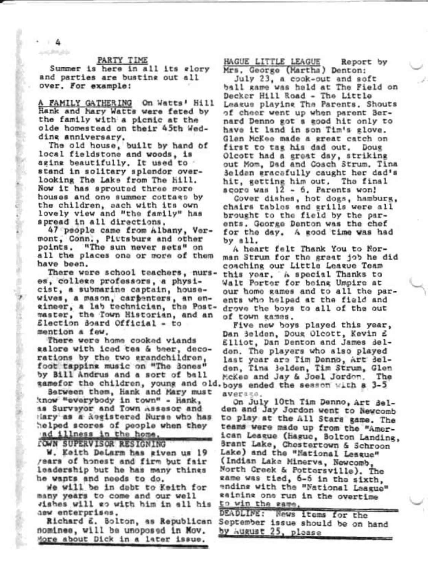# PARTY TIME

Summer is here in all its elory and parties are busting out all over. For example:

A FAMILY GATHERING On Watts' Hill Hank and Mary Watts were feted by the family with a picnic at the olde homestead on their 45th Wedding anniversary.

The old house, built by hand of local fieldstone and woods, is aging beautifully. It used to stand in solitary splendor overlooking The Lake from The Hill. Now it has sprouted three more houses and one summer cottage by the children, aach with its own lovely view and "the family" has spread in all directions.

47 people came from Albany, Vermont, Conn., Pittsburg and other points. "The sun never sets" on all the places one or more of them have been.

There were school teachers, nurses, college professors, a physicist, a submarine captain, housewives, a mason, carpenters, an encineer, a lab technician, the Postmaster, the Town Historian, and an Election Soard Official - to mention a few.

There were home cooked viands galore with iced tes & beer, decorations by the two grandchildren, foot tapping music on "The Sones" by Bill Andrus and a sort of ball

Between them, Hank and Mary must know "everybody in town" - Hank, as Surveyor and Town Assesor and Hary as a kegistered Nurse who has helped scores of people when they ad illness in the home.

*LOWN SUPERVISOR RESIGNING* 

W. Keith DeLarm has given us 19 years of honest and firm but fair leadership but he has many thines he wants and needs to do.

we will be in dabt to Keith for many years to come and our well vishes will go with him in all his dew enterprises.

Richard E. Bolton, as Republican nomines, will be unoposed in Mov. More about Dick in a later issue.

HAGUE LITTLE LEAGUE Report by Mrs. George (Martha) Denton:

July 23, a cook-out and soft ball game was held at The Field on Decker Hill Road - The Little League playing The Parents, Shouts of cheer went up when parent Bernard Denno got a good hit only to have it land in son Tim's glove. Glen McKee made a great catch on first to tag his dad out. Doug Olcott had a great day, striking out Mom, Dad and Coach Strum. Tina 3eldan gracafully caught her dad's hit, getting him out. The final scoro was 12 - 6. Parents won!

Cover dishes, hot dogs, hamburg, chairs tables and grills were all brought to the field by the parents. George Denton was the chef for the day. A good time was had by m11.

A heart falt Thank You to Norman Strum for the graat job he did coaching our Little League Team this year. A special Thanks to Walt Porter for being Umpire at our home games and to all the parents who helped at the field and drove the boys to all of the out of town games.

Five new boys played this year, Dan Belden, Doug Olcott, Kevin £ Elliot, Dan Denton and James delden. The players who also played last year are Tim Denno, Art delden, Tina Belden, Tim Strum, Glen McKee and Jay & Joel Jordon. The gamefor the children, young and old. boys ended the sesson with a 3-5 average.

> On July 10th Tim Denno, Art Belden and Jay Jordon went to Newcomb to play at the All Stars game. The teams were made up from the "American League (Hague, Bolton Landing, Brant Lake, Chestertown & Schroon Lake) and the "National League" (Indian Lake Minerva, Newcomb, North Creek & Pottersville). The game was tied, 6-5 in the sixth. ending with the "National League" eaining one run in the overtime to win the same.

| DEADLINE: News items for the      |  |  |  |
|-----------------------------------|--|--|--|
| September issue should be on hand |  |  |  |
| by August 25, please              |  |  |  |

 $4$ and the arts

Anderstandingster (1970) - stores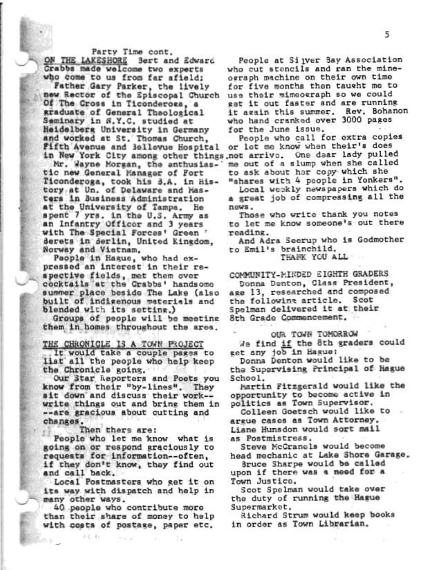Party Time cont.

ON THE LAKESHORE Sert and Edward Crabbs made welcome two experts who come to us from far afield; Father Gary Parker, the lively new Rector of the Spiscopal Church Of The Cross in Ticonderosa, a graduate of General Theological Saminary in S.Y.C. studied at Heidelberg University in Germany and worked at St. Thomas Church, Fifth Avenue and 3ellevue Hospital

Mr. Wayne Morgan, the anthusiastic new General Manager of Fort Ticonderoga, took his 3.A. in history at Un. of Delaware and Masters in Business Administration at the University of Tampa. He spent 7 yrs. in the U.S. Army as<br>an Infantry Officer and 3 years with The Special Forces' Green ' derets in derlin, United Kingdom, Norway and Vietnam.

Paople in Hague, who had expressed an interest in their respective fields, met them over cocktails at the Crabbs' handsome summer place beside The Lake (also built of indigenous materials and blended with its setting.)

Groups of people will be meeting them in homes throughout the area.

### THE CHRONICLE IS A TOWN PROJECT

It would take a couple pages to list all the people who help keep the Chronicle going.

Our Star Reporters and Poets you know from their "by-lines". They sit down and discuss their work -write things out and bring them in --are gracious about cutting and changes.

Then thers are:

24.4)

People who let me know what is going on or respond graciously to requests for information -- often, if they don't know, they find out and call back.

Local Postmasters who get it on its way with dispatch and help in many other ways.

40 people who contribute more than their share of money to help with costs of postage, paper etc.

The con-

People at Si ver Bay Association who cut stencils and ran the mineograph machine on their own time for five months then taught me to use their mimeograph so we could gat it out faster and are running it again this summer. Rev. Bohanon who hand cranked over 3000 pages for the June issue.

People who call for extra copies or let me know when their's does in New York City among other things not arrive. One dear lady pulled me out of a slump when she called to ask about her copy which she "shares with 4 people in Yonkers".

Local weekly newspapers which do a great job of compressing all the news.

Those who write thank you notes to let me know someone's out there reading.

And Adra Secrup who is Godmother to Emil's brainchild.

THANK YOU ALL

COMMUNITY-MINDED EIGHTH GRADERS

Donna Denton, Class President, age 13, researched and composed the following article. Scot Spelman delivered it at their 8th Grade Commencement.

# OUR TOWN TOMORROW

We find if the 8th graders could get any job in Hague:

Donna Denton would like to be the Supervising Principal of Hague School.

Martin Fitzgerald would like the opportunity to become active in politics as Town Supervisor.

Colleen Goetsch would like to argue cases as Town Attorney. Liane Hunsdon would sort mail as Postmistress.

Steve McCranels would become head mechanic at Lake Shore Garage.

Bruce Sharpe would be called upon if there was a need for a Town Justice.

Scot Spelman would take over the duty of running the Hague Supermarket.

Richard Strum would keep books in order as Town Librarian.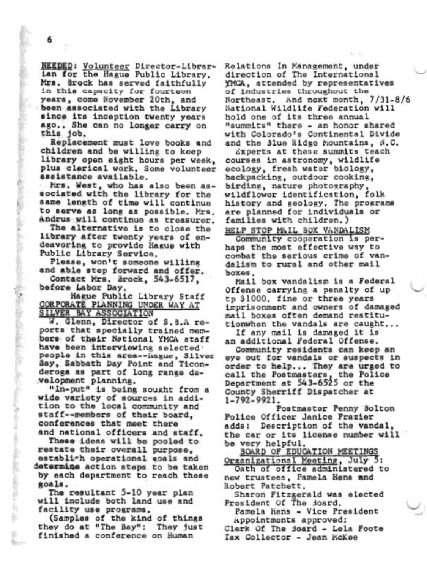The dealers applicable for the state of classics and the contract of the

**Boyle** 

NEEDED: Volunteer Director-Librarian for the Hague Public Library. Mrs. Brock has served faithfully in this capacity for fourteen years, come November 20th, and been associated with the Library since its inception twenty years ago.. She can no longer carry on this job.

Replacement must love books and children and be willing to keep library open eight hours per week, plus clerical work. Some volunteer assistance available.

Mrs. West, who has also been associated with the library for the same length of time will continue to serve as long as possible. Mrs. Andrus will continue as treasurer.

The alternative is to close the library after twenty years of endeavoring to provide Hague with Public Library Service.

Please, won't someone willing and able step forward and offer.

Contact Mrs. Brock, 543-6517, before Labor Day.

Hague Public Library Staff CORPORATE PLANNING UNDER WAY AT SILVER BAY ASSOCIATION

W. Glenn, Director of S.B.A reports that specially trained members of their National YMCA staff have been interviewing selected people in this area -- hague, Silver Bay, Sabbath Day Point and Ticonderoga as part of long range development planning.

"In-put" is being sought from a wide variety of sources in addition to the local community and staff--members of their board, conferences that meet there and national officers and staff.

These ideas will be pooled to restate their overall purpose. establirh operational goals and determine action steps to be taken by each department to reach these goals.

The resultant 5-10 year plan will include both land use and facility use programs.

(Samples of the kind of things they do at "The Bay": They just finished a conference on Human

Relations In Management, under direction of The International YMCA, attended by representatives of industries throughout the Northeast. And next month, 7/31-8/6 National Wildlife Federation will hold one of its three annual "summits" there - an honor shared with Colorado's Continental Divide and the 3lue Ridge Mountains, N.C.

dxperts at these summits teach courses in astronomy, wildlife ecology, fresh water biology. backpacking, outdoor cooking, birding, nature photography, wildflower identification, folk history and geology. The programs are planned for individuals or families with children.)

HELP STOP MAIL BOX VANDALISM

Community cooperation is perhaps the most effective way to combat the serious crime of vandalism to rural and other mail boxes.

Mail box vandalism is a Federal Offense carrying a penalty of up tp \$1000. fine or three years imprisonment and owners of damaged mail boxes often demand restitutionwhen the vandals are caught...

If any mail is damaged it is an additional Federal Offense.

Community residents can keep an eye out for vandals or suspects in order to help... They are urged to call the Postmasters, the Police Department at 543-6525 or the County Sherriff Dispatcher at 1-792-9921.

Postmaster Penny Bolton Police Officer Janice Frazier Description of the vandal, adds: the car or its license number will be very helpful.

BOARD OF EDUCATION MEETINGS Organizational Meeting, July 5:

Oath of office administered to new trustees, Pamela Hens and Robert Patchett,

Sharon Fitzgerald was elected President Of The Soard.

Pamela Hens - Vice President Appointments approved:

Clerk Of The Soard - Lela Foote Tax Collector - Jean McKee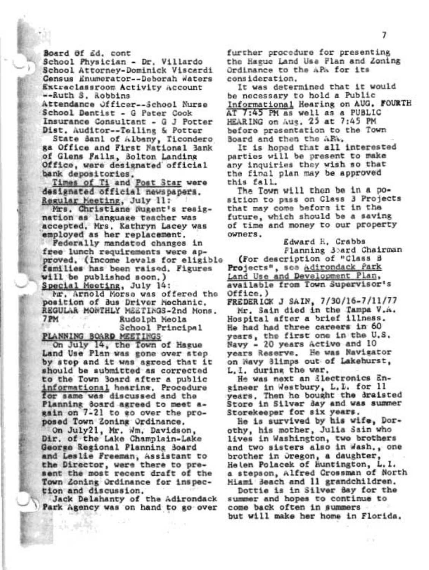Board Of Ed. cont

School Physician - Dr. Villardo School Attorney-Dominick Viscardi Census Enumerator--Deborah Waters Extraclassroom Activity Account --Ruth S. Robbins Attendance Officer--School Nurse

School Dentist - G Pater Cook Insurance Consultant - G J Potter Dist. Auditor--Telling & Potter

State Sanl of Albany, Ticondero ga Office and First National Bank of Glens Falls, Bolton Landing Office, were designated official

bank depositories.<br>Times of Ti and Post Star were designated official newspapers. Regular Meeting, July 11:

Mrs. Christiane Nugent's resignation as language teacher was accepted. Mrs. Kathryn Lacey was employed as her replacement.

Federally mandated changes in free lunch requirements were approved. (Income levals for eligible families has been raised. Figures will be published soon.) Special Meeting, July 14:

Mr. Arnold Morse was offered the position of Bus Driver Mechanic. REGULAR MONTHLY MEETINGS-2nd Mons. 7 PM Rudolph Meola School Principal

PLANNING BOARD MEETINGS

On July 14, the Town of Hague Land Use Plan was gone over step by step and it was agreed that it should be submitted as corrected to the Town Board after a public informational hearing, Procedure for same was discussed and the Planning doard agreed to meet again on 7-21 to go over the proposed Town Zoning Ordinance.

On July21, Mr. Wm. Davidson, Dir. of the Lake Champlain-Lake George Regional Planning Board and Leslie Freeman, Assistant to the Director, were there to present the most recent draft of the Town Zoning Ordinance for inspection and discussion.

Jack Delahanty of the Adirondack Park Agency was on hand to go over

further procedure for presenting the Hague Land Use Flan and Zoning Ordinance to the APA for its consideration.

It was determined that it would be necessary to hold a Public Informational Hearing on AUG. FOURTH AT 7:45 PM as well as a PUBLIC HEARING on Aus. 25 at 7:45 PM before presentation to the Town Board and then the ARA.

It is hoped that all interested parties will be present to make any inquiries they wish so that the final plan may be approved this fall.

The Town will then be in a position to pass on Class 3 Projects that may come before it in the future, which should be a saving of time and money to our property owners.

Edward H. Crabbs Planning 3bard Chairman (For description of "Class B Projects", soa Adirondack Park Land Use and Development Plan, available from Town Supervisor's

Office.) FREDERICK J SAIN, 7/30/16-7/11/77

Mr. Sain died in the Tampa V.A. Hospital after a brief illness. He had had three careers in 60 years, the first one in the U.S. Navy - 20 years Active and 10 years Reserve. He was Navigator on Navy Blimps out of Lakehurst, L. I. during the war.

He was next an ilectronics Engineer in Westbury, L. L. for 11 years. Then he bought the draisted Store in Silver Bay and was summer Storekeeper for six years.

He is survived by his wife, Dorothy, his mother, Julia Sain who lives in Washington, two brothers and two sisters also in Wash., one brother in Oregon, a daughter, Helen Polacek of Huntington, L.I. a stepson, Alfred Crossman of North Miami Beach and 11 grandchildren.

Dottie is in Silver Bay for the summer and hopes to continue to come back often in summers but will make her home in Florida.